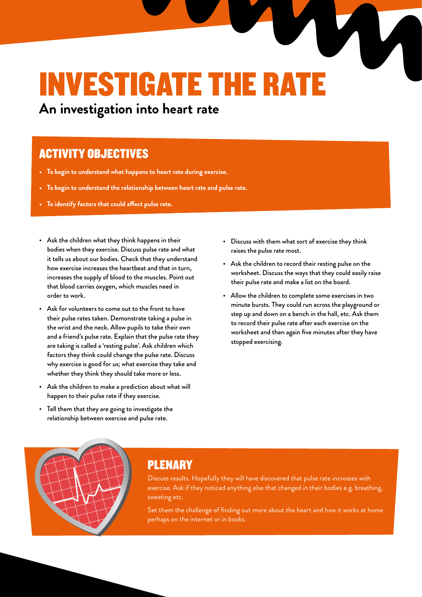## INVESTIGATE THE RAT

**An investigation into heart rate**

### ACTIVITY OBJECTIVES

- **• To begin to understand what happens to heart rate during exercise.**
- **• To begin to understand the relationship between heart rate and pulse rate.**
- **• To identify factors that could affect pulse rate.**
- Ask the children what they think happens in their bodies when they exercise. Discuss pulse rate and what it tells us about our bodies. Check that they understand how exercise increases the heartbeat and that in turn, increases the supply of blood to the muscles. Point out that blood carries oxygen, which muscles need in order to work.
- Ask for volunteers to come out to the front to have their pulse rates taken. Demonstrate taking a pulse in the wrist and the neck. Allow pupils to take their own and a friend's pulse rate. Explain that the pulse rate they are taking is called a 'resting pulse'. Ask children which factors they think could change the pulse rate. Discuss why exercise is good for us; what exercise they take and whether they think they should take more or less.
- Ask the children to make a prediction about what will happen to their pulse rate if they exercise.
- Tell them that they are going to investigate the

relationship between exercise and pulse rate.

- Discuss with them what sort of exercise they think raises the pulse rate most.
- Ask the children to record their resting pulse on the worksheet. Discuss the ways that they could easily raise their pulse rate and make a list on the board.
- Allow the children to complete some exercises in two minute bursts. They could run across the playground or step up and down on a bench in the hall, etc. Ask them to record their pulse rate after each exercise on the worksheet and then again five minutes after they have stopped exercising.



#### PLENARY

Discuss results. Hopefully they will have discovered that pulse rate increases with exercise. Ask if they noticed anything else that changed in their bodies e.g. breathing, sweating etc.

Set them the challenge of finding out more about the heart and how it works at home perhaps on the internet or in books.